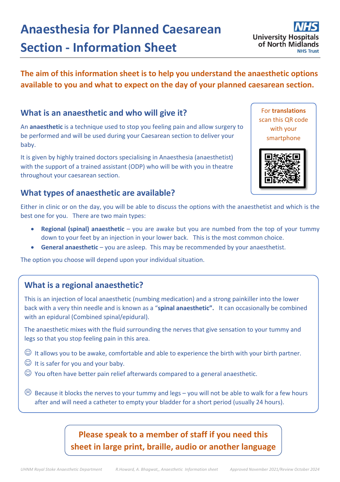## baby. It is given by highly trained doctors specialising in Anaesthesia (anaesthetist)

with the support of a trained assistant (ODP) who will be with you in theatre throughout your caesarean section.

An **anaesthetic** is a technique used to stop you feeling pain and allow surgery to be performed and will be used during your Caesarean section to deliver your

### **What types of anaesthetic are available?**

**What is an anaesthetic and who will give it?**

Either in clinic or on the day, you will be able to discuss the options with the anaesthetist and which is the best one for you. There are two main types:

- **Regional (spinal) anaesthetic** you are awake but you are numbed from the top of your tummy down to your feet by an injection in your lower back. This is the most common choice.
- **General anaesthetic** you are asleep. This may be recommended by your anaesthetist.

The option you choose will depend upon your individual situation.

### **What is a regional anaesthetic?**

This is an injection of local anaesthetic (numbing medication) and a strong painkiller into the lower back with a very thin needle and is known as a "**spinal anaesthetic".** It can occasionally be combined with an epidural (Combined spinal/epidural).

The anaesthetic mixes with the fluid surrounding the nerves that give sensation to your tummy and legs so that you stop feeling pain in this area.

- $\odot$  It allows you to be awake, comfortable and able to experience the birth with your birth partner.
- $\odot$  It is safer for you and your baby.
- $\odot$  You often have better pain relief afterwards compared to a general anaesthetic.

 $\odot$  Because it blocks the nerves to your tummy and legs – you will not be able to walk for a few hours after and will need a catheter to empty your bladder for a short period (usually 24 hours).

# **Please speak to a member of staff if you need this sheet in large print, braille, audio or another language**

# **Anaesthesia for Planned Caesarean Section - Information Sheet**

# **The aim of this information sheet is to help you understand the anaesthetic options**

**available to you and what to expect on the day of your planned caesarean section.**

For **translations** scan this QR code with your smartphone